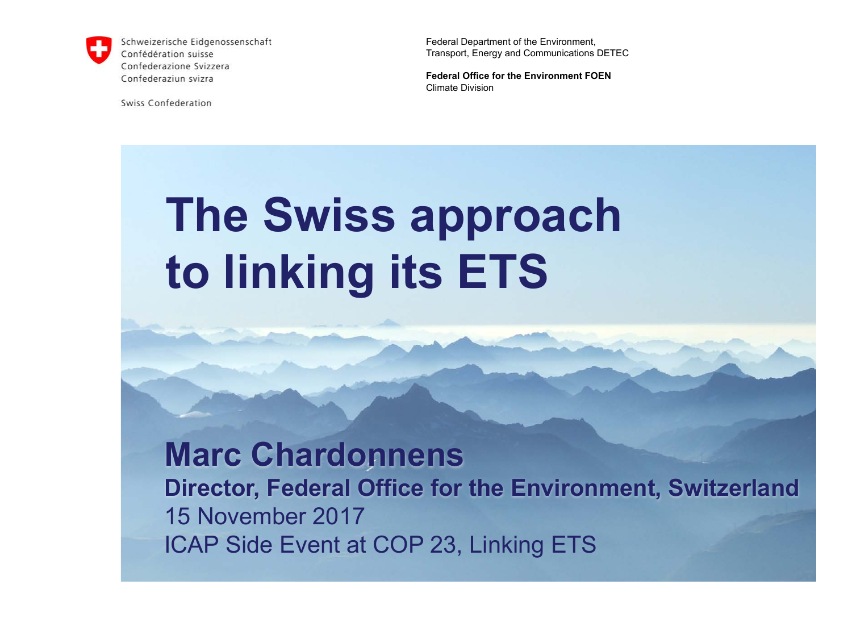

Schweizerische Eidgenossenschaft Confédération suisse Confederazione Svizzera Confederaziun svizra

Swiss Confederation

Federal Department of the Environment, Transport, Energy and Communications DETEC

**Federal Office for the Environment FOEN** Climate Division

## **The Swiss approach to linking its ETS**

### **Marc Chardonnens Director, Federal Office for the Environment, Switzerland** 15 November 2017 ICAP Side Event at COP 23, Linking ETS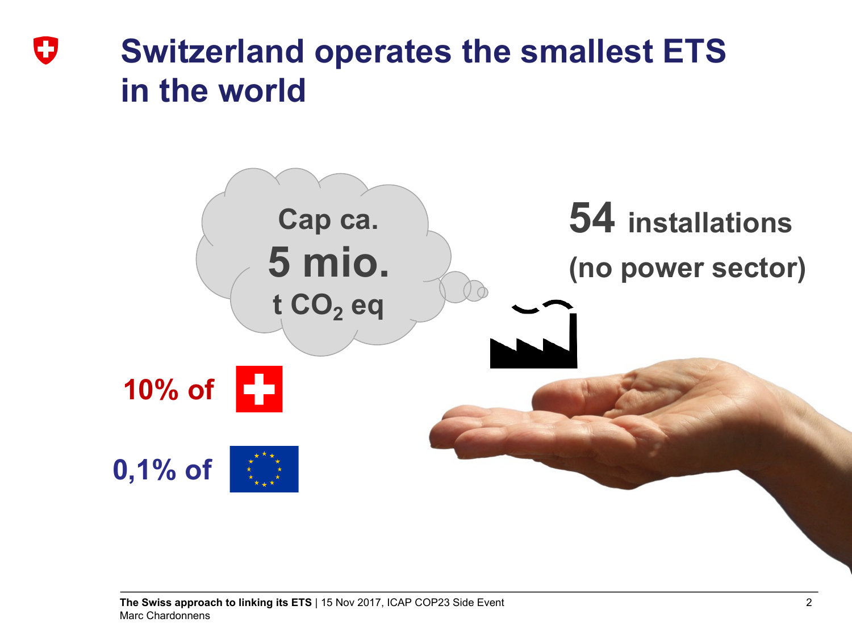### **Switzerland operates the smallest ETS**  IJ **in the world**

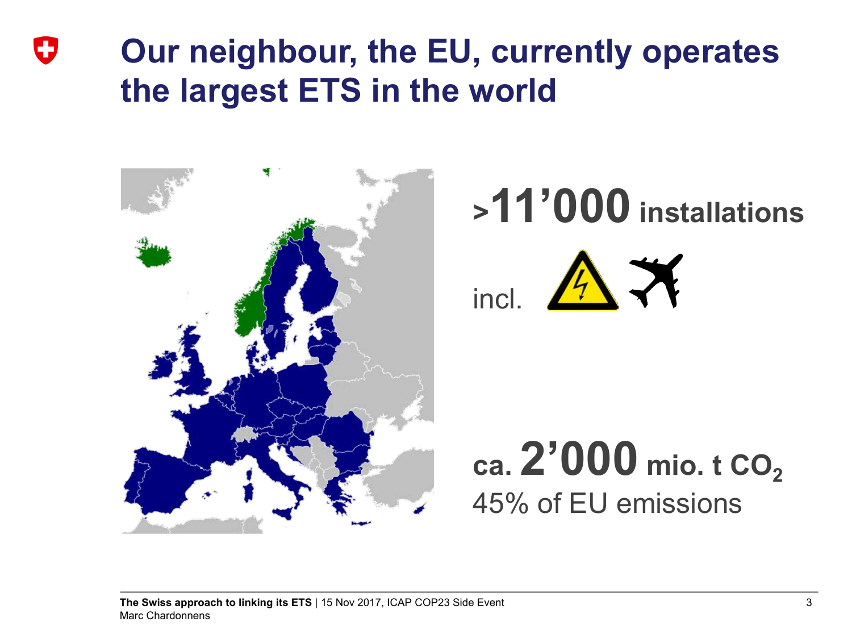### **Our neighbour, the EU, currently operates** IJ **the largest ETS in the world**



# **>11'000 installations**



**ca.** 2'000 mio. **t** CO<sub>2</sub> 45% of EU emissions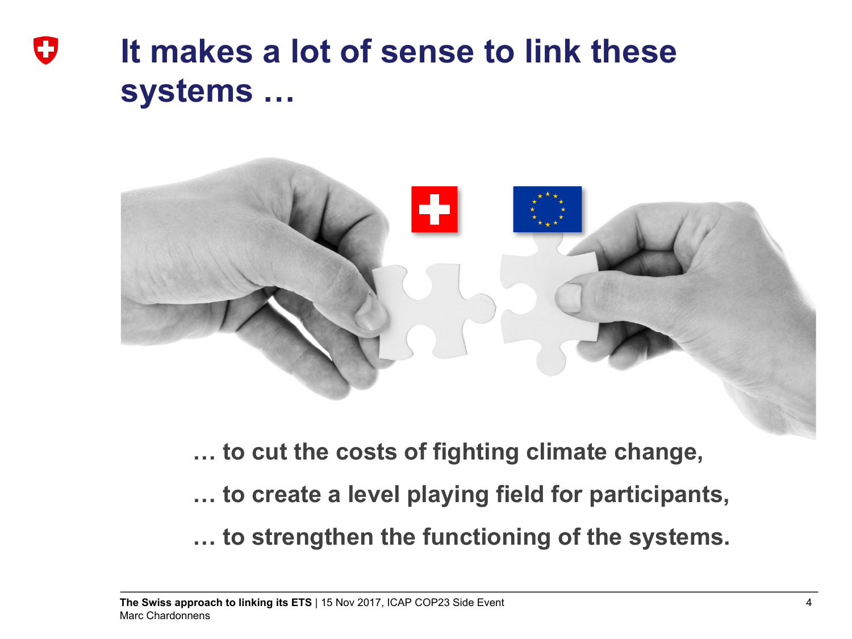### **It makes a lot of sense to link these** IJ **systems …**



**… to cut the costs of fighting climate change,**

**… to create a level playing field for participants,**

**… to strengthen the functioning of the systems.**